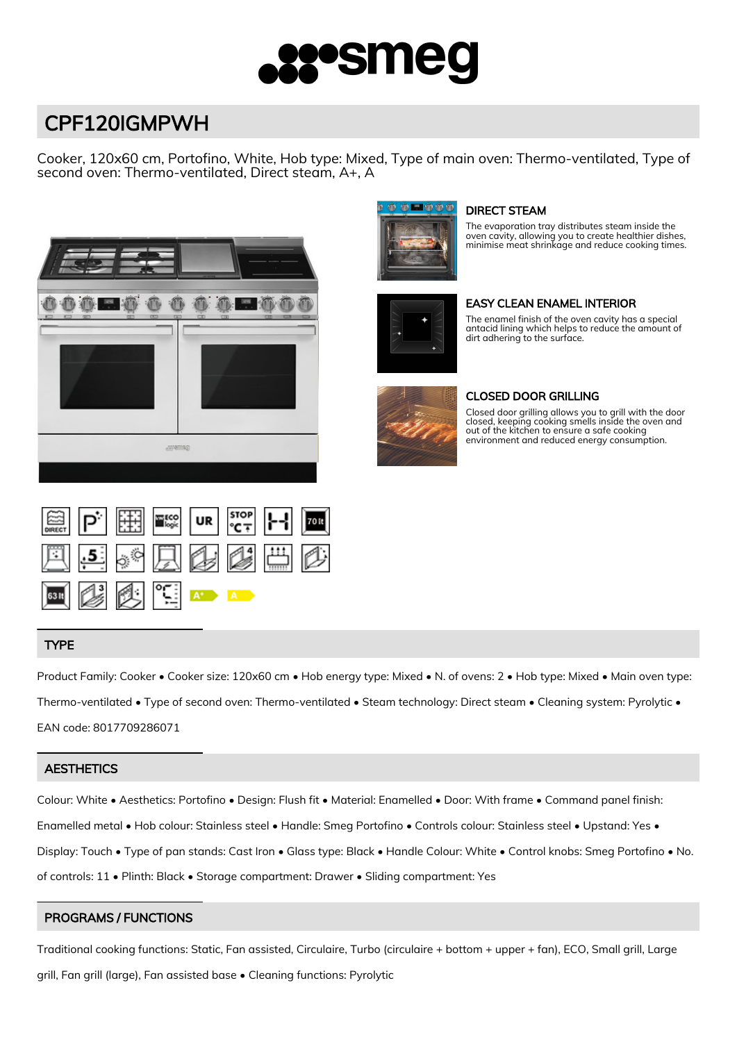

# CPF120IGMPWH

Cooker, 120x60 cm, Portofino, White, Hob type: Mixed, Type of main oven: Thermo-ventilated, Type of second oven: Thermo-ventilated, Direct steam, A+, A





# DIRECT STEAM

The evaporation tray distributes steam inside the oven cavity, allowing you to create healthier dishes, minimise meat shrinkage and reduce cooking times.



# EASY CLEAN ENAMEL INTERIOR

The enamel finish of the oven cavity has a special antacid lining which helps to reduce the amount of dirt adhering to the surface.



#### CLOSED DOOR GRILLING

Closed door grilling allows you to grill with the door closed, keeping cooking smells inside the oven and out of the kitchen to ensure a safe cooking environment and reduced energy consumption.



# TYPE

Product Family: Cooker • Cooker size: 120x60 cm • Hob energy type: Mixed • N. of ovens: 2 • Hob type: Mixed • Main oven type: Thermo-ventilated • Type of second oven: Thermo-ventilated • Steam technology: Direct steam • Cleaning system: Pyrolytic • EAN code: 8017709286071

#### **AESTHETICS**

Colour: White • Aesthetics: Portofino • Design: Flush fit • Material: Enamelled • Door: With frame • Command panel finish: Enamelled metal • Hob colour: Stainless steel • Handle: Smeg Portofino • Controls colour: Stainless steel • Upstand: Yes • Display: Touch • Type of pan stands: Cast Iron • Glass type: Black • Handle Colour: White • Control knobs: Smeg Portofino • No. of controls: 11 • Plinth: Black • Storage compartment: Drawer • Sliding compartment: Yes

#### PROGRAMS / FUNCTIONS

Traditional cooking functions: Static, Fan assisted, Circulaire, Turbo (circulaire + bottom + upper + fan), ECO, Small grill, Large grill, Fan grill (large), Fan assisted base • Cleaning functions: Pyrolytic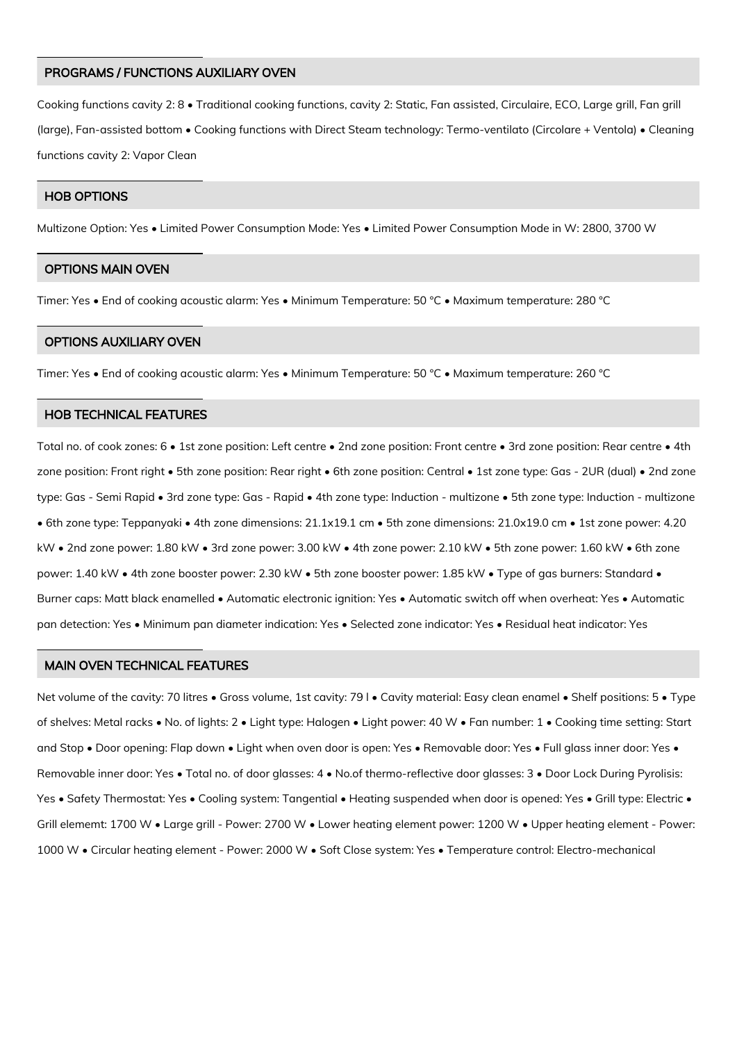#### PROGRAMS / FUNCTIONS AUXILIARY OVEN

Cooking functions cavity 2: 8 • Traditional cooking functions, cavity 2: Static, Fan assisted, Circulaire, ECO, Large grill, Fan grill (large), Fan-assisted bottom • Cooking functions with Direct Steam technology: Termo-ventilato (Circolare + Ventola) • Cleaning functions cavity 2: Vapor Clean

# HOB OPTIONS

Multizone Option: Yes • Limited Power Consumption Mode: Yes • Limited Power Consumption Mode in W: 2800, 3700 W

#### OPTIONS MAIN OVEN

Timer: Yes • End of cooking acoustic alarm: Yes • Minimum Temperature: 50 °C • Maximum temperature: 280 °C

#### OPTIONS AUXILIARY OVEN

Timer: Yes • End of cooking acoustic alarm: Yes • Minimum Temperature: 50 °C • Maximum temperature: 260 °C

#### HOB TECHNICAL FEATURES

Total no. of cook zones: 6 • 1st zone position: Left centre • 2nd zone position: Front centre • 3rd zone position: Rear centre • 4th zone position: Front right • 5th zone position: Rear right • 6th zone position: Central • 1st zone type: Gas - 2UR (dual) • 2nd zone type: Gas - Semi Rapid • 3rd zone type: Gas - Rapid • 4th zone type: Induction - multizone • 5th zone type: Induction - multizone • 6th zone type: Teppanyaki • 4th zone dimensions: 21.1x19.1 cm • 5th zone dimensions: 21.0x19.0 cm • 1st zone power: 4.20 kW • 2nd zone power: 1.80 kW • 3rd zone power: 3.00 kW • 4th zone power: 2.10 kW • 5th zone power: 1.60 kW • 6th zone power: 1.40 kW • 4th zone booster power: 2.30 kW • 5th zone booster power: 1.85 kW • Type of gas burners: Standard • Burner caps: Matt black enamelled • Automatic electronic ignition: Yes • Automatic switch off when overheat: Yes • Automatic pan detection: Yes • Minimum pan diameter indication: Yes • Selected zone indicator: Yes • Residual heat indicator: Yes

#### MAIN OVEN TECHNICAL FEATURES

Net volume of the cavity: 70 litres • Gross volume, 1st cavity: 79 l • Cavity material: Easy clean enamel • Shelf positions: 5 • Type of shelves: Metal racks • No. of lights: 2 • Light type: Halogen • Light power: 40 W • Fan number: 1 • Cooking time setting: Start and Stop • Door opening: Flap down • Light when oven door is open: Yes • Removable door: Yes • Full glass inner door: Yes • Removable inner door: Yes • Total no. of door glasses: 4 • No.of thermo-reflective door glasses: 3 • Door Lock During Pyrolisis: Yes • Safety Thermostat: Yes • Cooling system: Tangential • Heating suspended when door is opened: Yes • Grill type: Electric • Grill elememt: 1700 W • Large grill - Power: 2700 W • Lower heating element power: 1200 W • Upper heating element - Power: 1000 W • Circular heating element - Power: 2000 W • Soft Close system: Yes • Temperature control: Electro-mechanical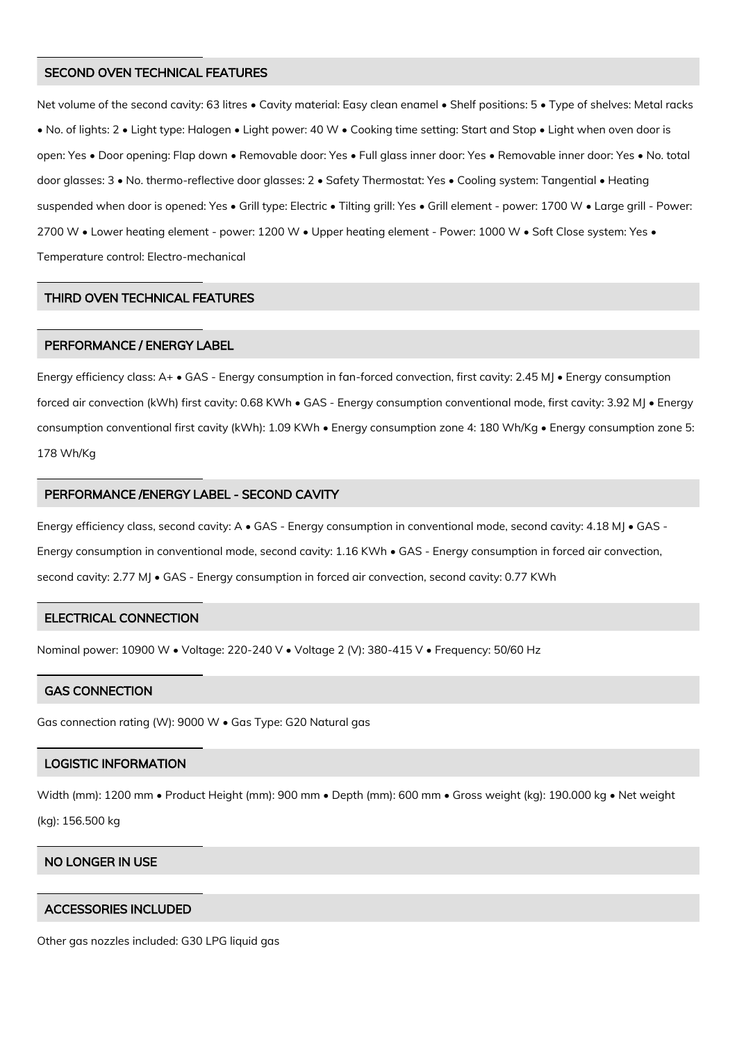#### SECOND OVEN TECHNICAL FEATURES

Net volume of the second cavity: 63 litres • Cavity material: Easy clean enamel • Shelf positions: 5 • Type of shelves: Metal racks • No. of lights: 2 • Light type: Halogen • Light power: 40 W • Cooking time setting: Start and Stop • Light when oven door is open: Yes • Door opening: Flap down • Removable door: Yes • Full glass inner door: Yes • Removable inner door: Yes • No. total door glasses: 3 • No. thermo-reflective door glasses: 2 • Safety Thermostat: Yes • Cooling system: Tangential • Heating suspended when door is opened: Yes • Grill type: Electric • Tilting grill: Yes • Grill element - power: 1700 W • Large grill - Power: 2700 W • Lower heating element - power: 1200 W • Upper heating element - Power: 1000 W • Soft Close system: Yes • Temperature control: Electro-mechanical

#### THIRD OVEN TECHNICAL FEATURES

# PERFORMANCE / ENERGY LABEL

Energy efficiency class: A+ • GAS - Energy consumption in fan-forced convection, first cavity: 2.45 MJ • Energy consumption forced air convection (kWh) first cavity: 0.68 KWh • GAS - Energy consumption conventional mode, first cavity: 3.92 MJ • Energy consumption conventional first cavity (kWh): 1.09 KWh • Energy consumption zone 4: 180 Wh/Kg • Energy consumption zone 5: 178 Wh/Kg

#### PERFORMANCE /ENERGY LABEL - SECOND CAVITY

Energy efficiency class, second cavity: A • GAS - Energy consumption in conventional mode, second cavity: 4.18 MJ • GAS - Energy consumption in conventional mode, second cavity: 1.16 KWh • GAS - Energy consumption in forced air convection, second cavity: 2.77 MJ • GAS - Energy consumption in forced air convection, second cavity: 0.77 KWh

#### ELECTRICAL CONNECTION

Nominal power: 10900 W • Voltage: 220-240 V • Voltage 2 (V): 380-415 V • Frequency: 50/60 Hz

#### GAS CONNECTION

Gas connection rating (W): 9000 W • Gas Type: G20 Natural gas

#### LOGISTIC INFORMATION

Width (mm): 1200 mm • Product Height (mm): 900 mm • Depth (mm): 600 mm • Gross weight (kg): 190.000 kg • Net weight (kg): 156.500 kg

# NO LONGER IN USE

#### ACCESSORIES INCLUDED

Other gas nozzles included: G30 LPG liquid gas